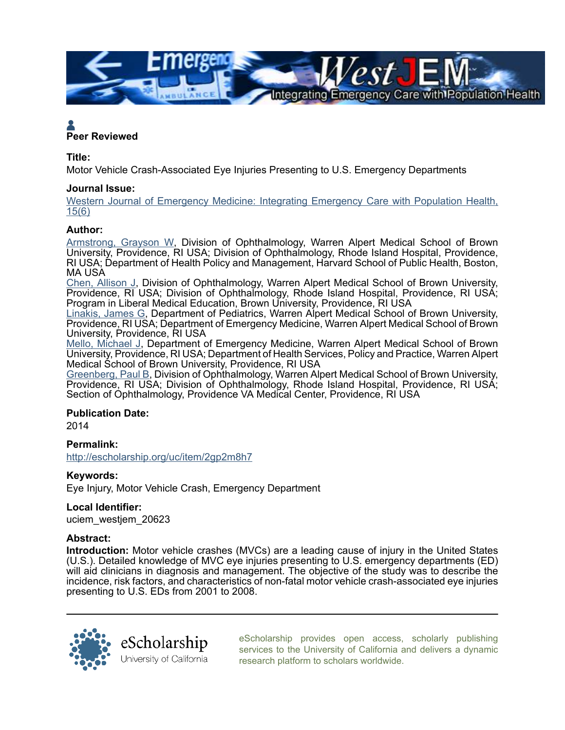

# Peer Reviewed

Title:

Motor Vehicle Crash-Associated Eye Injuries Presenting to U.S. Emergency Departments

## Journal Issue:

[Western Journal of Emergency Medicine: Integrating Emergency Care with Population Health,](http://escholarship.org/uc/uciem_westjem?volume=15;issue=6) [15\(6\)](http://escholarship.org/uc/uciem_westjem?volume=15;issue=6)

## Author:

[Armstrong, Grayson W](http://escholarship.org/uc/search?creator=Armstrong%2C%20Grayson%20W), Division of Ophthalmology, Warren Alpert Medical School of Brown University, Providence, RI USA; Division of Ophthalmology, Rhode Island Hospital, Providence, RI USA; Department of Health Policy and Management, Harvard School of Public Health, Boston, MA USA

[Chen, Allison J](http://escholarship.org/uc/search?creator=Chen%2C%20Allison%20J), Division of Ophthalmology, Warren Alpert Medical School of Brown University, Providence, RI USA; Division of Ophthalmology, Rhode Island Hospital, Providence, RI USA; Program in Liberal Medical Education, Brown University, Providence, RI USA

[Linakis, James G](http://escholarship.org/uc/search?creator=Linakis%2C%20James%20G), Department of Pediatrics, Warren Alpert Medical School of Brown University, Providence, RI USA; Department of Emergency Medicine, Warren Alpert Medical School of Brown University, Providence, RI USA

[Mello, Michael J,](http://escholarship.org/uc/search?creator=Mello%2C%20Michael%20J) Department of Emergency Medicine, Warren Alpert Medical School of Brown University, Providence, RI USA; Department of Health Services, Policy and Practice, Warren Alpert Medical School of Brown University, Providence, RI USA

[Greenberg, Paul B,](http://escholarship.org/uc/search?creator=Greenberg%2C%20Paul%20B) Division of Ophthalmology, Warren Alpert Medical School of Brown University, Providence, RI USA; Division of Ophthalmology, Rhode Island Hospital, Providence, RI USA; Section of Ophthalmology, Providence VA Medical Center, Providence, RI USA

## Publication Date:

2014

## Permalink:

<http://escholarship.org/uc/item/2gp2m8h7>

## Keywords:

Eye Injury, Motor Vehicle Crash, Emergency Department

## Local Identifier:

uciem\_westjem\_20623

## Abstract:

Introduction: Motor vehicle crashes (MVCs) are a leading cause of injury in the United States (U.S.). Detailed knowledge of MVC eye injuries presenting to U.S. emergency departments (ED) will aid clinicians in diagnosis and management. The objective of the study was to describe the incidence, risk factors, and characteristics of non-fatal motor vehicle crash-associated eye injuries presenting to U.S. EDs from 2001 to 2008.



[eScholarship provides open access, scholarly publishing](http://escholarship.org) [services to the University of California and delivers a dynamic](http://escholarship.org) [research platform to scholars worldwide.](http://escholarship.org)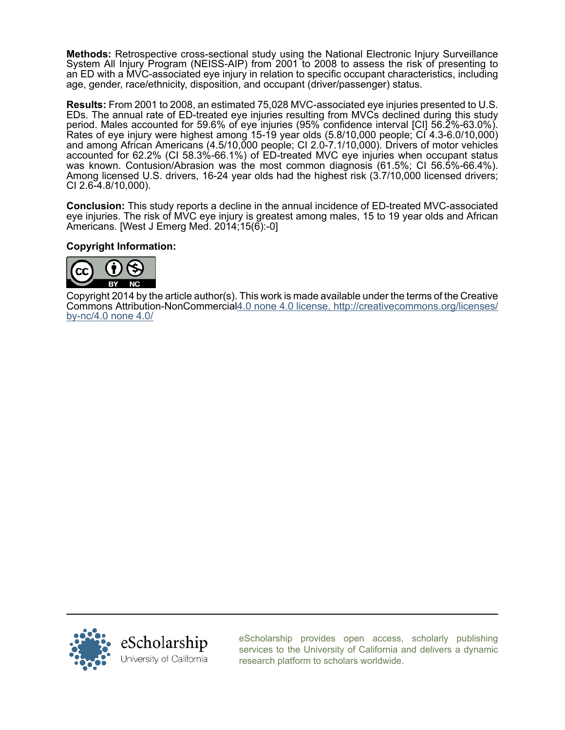Methods: Retrospective cross-sectional study using the National Electronic Injury Surveillance System All Injury Program (NEISS-AIP) from 2001 to 2008 to assess the risk of presenting to an ED with a MVC-associated eye injury in relation to specific occupant characteristics, including age, gender, race/ethnicity, disposition, and occupant (driver/passenger) status.

Results: From 2001 to 2008, an estimated 75,028 MVC-associated eye injuries presented to U.S. EDs. The annual rate of ED-treated eye injuries resulting from MVCs declined during this study period. Males accounted for 59.6% of eye injuries (95% confidence interval [CI] 56.2%-63.0%). Rates of eye injury were highest among 15-19 year olds (5.8/10,000 people; CI 4.3-6.0/10,000) and among African Americans (4.5/10,000 people; CI 2.0-7.1/10,000). Drivers of motor vehicles accounted for 62.2% (CI 58.3%-66.1%) of ED-treated MVC eye injuries when occupant status was known. Contusion/Abrasion was the most common diagnosis (61.5%; CI 56.5%-66.4%). Among licensed U.S. drivers, 16-24 year olds had the highest risk (3.7/10,000 licensed drivers; CI 2.6-4.8/10,000).

Conclusion: This study reports a decline in the annual incidence of ED-treated MVC-associated eye injuries. The risk of MVC eye injury is greatest among males, 15 to 19 year olds and African Americans. [West J Emerg Med. 2014;15(6):-0]

## Copyright Information:



Copyright 2014 by the article author(s). This work is made available under the terms of the Creative Commons Attribution-NonCommercia[l4.0 none 4.0 license, http://creativecommons.org/licenses/](http://creativecommons.org/licenses/by-nc/4.0 none 4.0/) [by-nc/4.0 none 4.0/](http://creativecommons.org/licenses/by-nc/4.0 none 4.0/)



[eScholarship provides open access, scholarly publishing](http://escholarship.org) [services to the University of California and delivers a dynamic](http://escholarship.org) [research platform to scholars worldwide.](http://escholarship.org)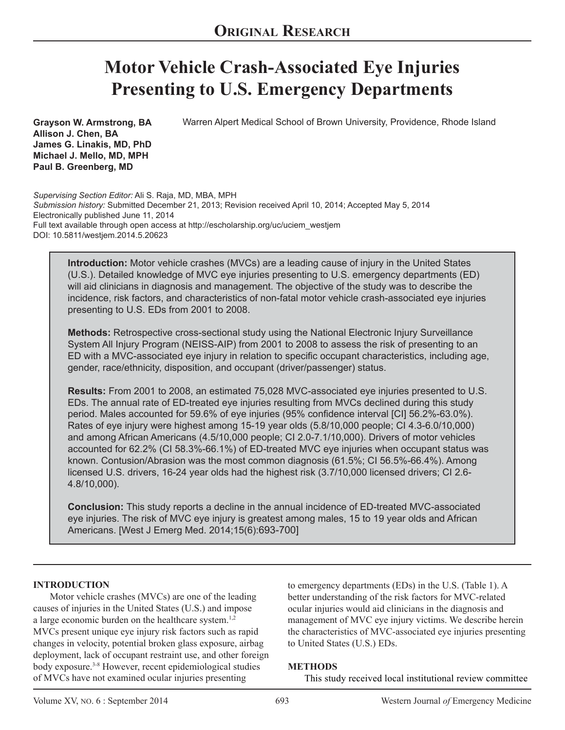# **Motor Vehicle Crash-Associated Eye Injuries Presenting to U.S. Emergency Departments**

**Grayson W. Armstrong, BA Allison J. Chen, BA James G. Linakis, MD, PhD Michael J. Mello, MD, MPH Paul B. Greenberg, MD**

Warren Alpert Medical School of Brown University, Providence, Rhode Island

*Supervising Section Editor:* Ali S. Raja, MD, MBA, MPH *Submission history:* Submitted December 21, 2013; Revision received April 10, 2014; Accepted May 5, 2014 Electronically published June 11, 2014 Full text available through open access at http://escholarship.org/uc/uciem\_westjem DOI: 10.5811/westjem.2014.5.20623

**Introduction:** Motor vehicle crashes (MVCs) are a leading cause of injury in the United States (U.S.). Detailed knowledge of MVC eye injuries presenting to U.S. emergency departments (ED) will aid clinicians in diagnosis and management. The objective of the study was to describe the incidence, risk factors, and characteristics of non-fatal motor vehicle crash-associated eye injuries presenting to U.S. EDs from 2001 to 2008.

**Methods:** Retrospective cross-sectional study using the National Electronic Injury Surveillance System All Injury Program (NEISS-AIP) from 2001 to 2008 to assess the risk of presenting to an ED with a MVC-associated eye injury in relation to specific occupant characteristics, including age, gender, race/ethnicity, disposition, and occupant (driver/passenger) status.

**Results:** From 2001 to 2008, an estimated 75,028 MVC-associated eye injuries presented to U.S. EDs. The annual rate of ED-treated eye injuries resulting from MVCs declined during this study period. Males accounted for 59.6% of eye injuries (95% confidence interval [CI] 56.2%-63.0%). Rates of eye injury were highest among 15-19 year olds (5.8/10,000 people; CI 4.3-6.0/10,000) and among African Americans (4.5/10,000 people; CI 2.0-7.1/10,000). Drivers of motor vehicles accounted for 62.2% (CI 58.3%-66.1%) of ED-treated MVC eye injuries when occupant status was known. Contusion/Abrasion was the most common diagnosis (61.5%; CI 56.5%-66.4%). Among licensed U.S. drivers, 16-24 year olds had the highest risk (3.7/10,000 licensed drivers; CI 2.6- 4.8/10,000).

**Conclusion:** This study reports a decline in the annual incidence of ED-treated MVC-associated eye injuries. The risk of MVC eye injury is greatest among males, 15 to 19 year olds and African Americans. [West J Emerg Med. 2014;15(6):693-700]

#### **INTRODUCTION**

Motor vehicle crashes (MVCs) are one of the leading causes of injuries in the United States (U.S.) and impose a large economic burden on the healthcare system.1,2 MVCs present unique eye injury risk factors such as rapid changes in velocity, potential broken glass exposure, airbag deployment, lack of occupant restraint use, and other foreign body exposure.<sup>3-8</sup> However, recent epidemiological studies of MVCs have not examined ocular injuries presenting

to emergency departments (EDs) in the U.S. (Table 1). A better understanding of the risk factors for MVC-related ocular injuries would aid clinicians in the diagnosis and management of MVC eye injury victims. We describe herein the characteristics of MVC-associated eye injuries presenting to United States (U.S.) EDs.

#### **METHODS**

This study received local institutional review committee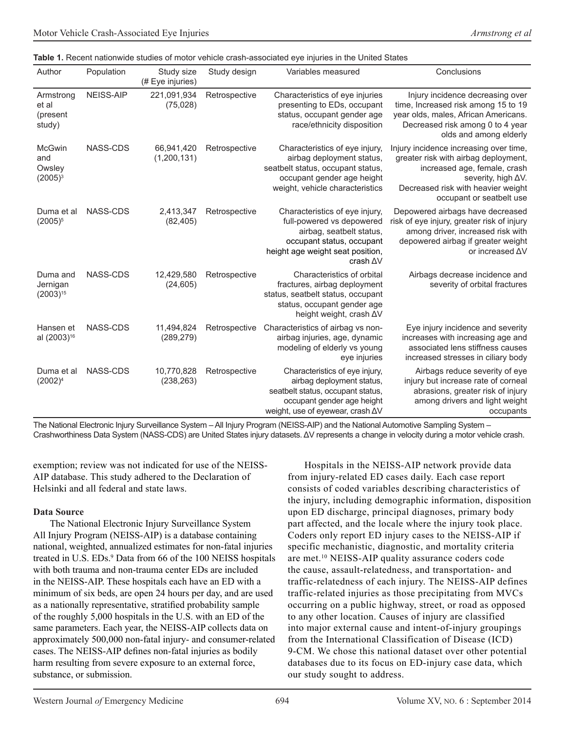| Author                                       | Population       | Study size<br>(# Eye injuries) | Study design  | Variables measured                                                                                                                                                           | Conclusions                                                                                                                                                                                                     |
|----------------------------------------------|------------------|--------------------------------|---------------|------------------------------------------------------------------------------------------------------------------------------------------------------------------------------|-----------------------------------------------------------------------------------------------------------------------------------------------------------------------------------------------------------------|
| Armstrong<br>et al<br>(present<br>study)     | <b>NEISS-AIP</b> | 221,091,934<br>(75,028)        | Retrospective | Characteristics of eye injuries<br>presenting to EDs, occupant<br>status, occupant gender age<br>race/ethnicity disposition                                                  | Injury incidence decreasing over<br>time, Increased risk among 15 to 19<br>year olds, males, African Americans.<br>Decreased risk among 0 to 4 year<br>olds and among elderly                                   |
| <b>McGwin</b><br>and<br>Owsley<br>$(2005)^3$ | NASS-CDS         | 66,941,420<br>(1,200,131)      | Retrospective | Characteristics of eye injury,<br>airbag deployment status,<br>seatbelt status, occupant status,<br>occupant gender age height<br>weight, vehicle characteristics            | Injury incidence increasing over time,<br>greater risk with airbag deployment,<br>increased age, female, crash<br>severity, high $\Delta V$ .<br>Decreased risk with heavier weight<br>occupant or seatbelt use |
| Duma et al<br>$(2005)^5$                     | NASS-CDS         | 2,413,347<br>(82, 405)         | Retrospective | Characteristics of eye injury,<br>full-powered vs depowered<br>airbag, seatbelt status,<br>occupant status, occupant<br>height age weight seat position,<br>crash $\Delta V$ | Depowered airbags have decreased<br>risk of eye injury, greater risk of injury<br>among driver, increased risk with<br>depowered airbag if greater weight<br>or increased $\Delta V$                            |
| Duma and<br>Jernigan<br>$(2003)^{15}$        | <b>NASS-CDS</b>  | 12,429,580<br>(24, 605)        | Retrospective | Characteristics of orbital<br>fractures, airbag deployment<br>status, seatbelt status, occupant<br>status, occupant gender age<br>height weight, crash AV                    | Airbags decrease incidence and<br>severity of orbital fractures                                                                                                                                                 |
| Hansen et<br>al (2003) <sup>16</sup>         | <b>NASS-CDS</b>  | 11,494,824<br>(289, 279)       | Retrospective | Characteristics of airbag vs non-<br>airbag injuries, age, dynamic<br>modeling of elderly vs young<br>eye injuries                                                           | Eye injury incidence and severity<br>increases with increasing age and<br>associated lens stiffness causes<br>increased stresses in ciliary body                                                                |
| Duma et al<br>$(2002)^4$                     | NASS-CDS         | 10,770,828<br>(238, 263)       | Retrospective | Characteristics of eye injury,<br>airbag deployment status,<br>seatbelt status, occupant status,<br>occupant gender age height<br>weight, use of eyewear, crash AV           | Airbags reduce severity of eye<br>injury but increase rate of corneal<br>abrasions, greater risk of injury<br>among drivers and light weight<br>occupants                                                       |

The National Electronic Injury Surveillance System – All Injury Program (NEISS-AIP) and the National Automotive Sampling System – Crashworthiness Data System (NASS-CDS) are United States injury datasets. ΔV represents a change in velocity during a motor vehicle crash.

exemption; review was not indicated for use of the NEISS-AIP database. This study adhered to the Declaration of Helsinki and all federal and state laws.

#### **Data Source**

The National Electronic Injury Surveillance System All Injury Program (NEISS-AIP) is a database containing national, weighted, annualized estimates for non-fatal injuries treated in U.S. EDs.<sup>9</sup> Data from 66 of the 100 NEISS hospitals with both trauma and non-trauma center EDs are included in the NEISS-AIP. These hospitals each have an ED with a minimum of six beds, are open 24 hours per day, and are used as a nationally representative, stratified probability sample of the roughly 5,000 hospitals in the U.S. with an ED of the same parameters. Each year, the NEISS-AIP collects data on approximately 500,000 non-fatal injury- and consumer-related cases. The NEISS-AIP defines non-fatal injuries as bodily harm resulting from severe exposure to an external force, substance, or submission.

Hospitals in the NEISS-AIP network provide data from injury-related ED cases daily. Each case report consists of coded variables describing characteristics of the injury, including demographic information, disposition upon ED discharge, principal diagnoses, primary body part affected, and the locale where the injury took place. Coders only report ED injury cases to the NEISS-AIP if specific mechanistic, diagnostic, and mortality criteria are met.<sup>10</sup> NEISS-AIP quality assurance coders code the cause, assault-relatedness, and transportation- and traffic-relatedness of each injury. The NEISS-AIP defines traffic-related injuries as those precipitating from MVCs occurring on a public highway, street, or road as opposed to any other location. Causes of injury are classified into major external cause and intent-of-injury groupings from the International Classification of Disease (ICD) 9-CM. We chose this national dataset over other potential databases due to its focus on ED-injury case data, which our study sought to address.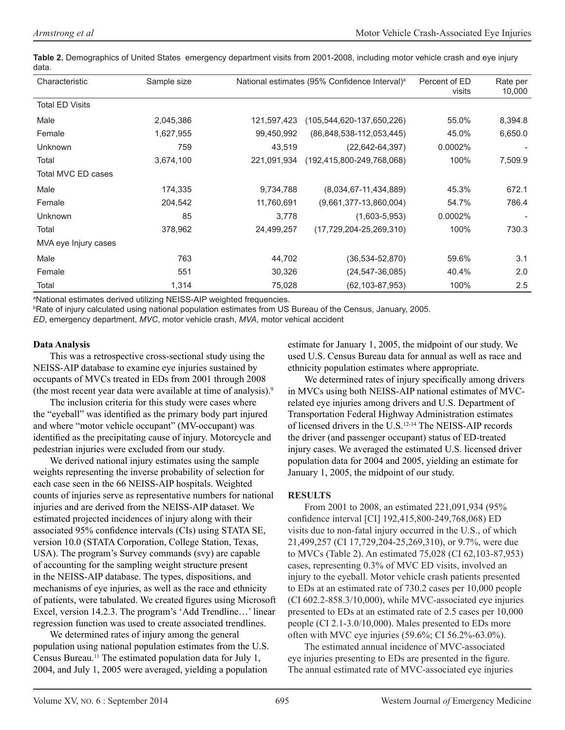| Characteristic         | Sample size |             | National estimates (95% Confidence Interval) <sup>a</sup> |         | Rate per<br>10,000 |
|------------------------|-------------|-------------|-----------------------------------------------------------|---------|--------------------|
| <b>Total ED Visits</b> |             |             |                                                           |         |                    |
| Male                   | 2,045,386   | 121,597,423 | $(105, 544, 620 - 137, 650, 226)$                         | 55.0%   | 8,394.8            |
| Female                 | 1,627,955   | 99,450,992  | $(86, 848, 538 - 112, 053, 445)$                          | 45.0%   | 6,650.0            |
| <b>Unknown</b>         | 759         | 43,519      | $(22.642 - 64.397)$                                       | 0.0002% |                    |
| Total                  | 3,674,100   | 221,091,934 | $(192, 415, 800 - 249, 768, 068)$                         | 100%    | 7,509.9            |
| Total MVC ED cases     |             |             |                                                           |         |                    |
| Male                   | 174,335     | 9,734,788   | $(8,034,67-11,434,889)$                                   | 45.3%   | 672.1              |
| Female                 | 204,542     | 11,760,691  | $(9,661,377-13,860,004)$                                  | 54.7%   | 786.4              |
| <b>Unknown</b>         | 85          | 3,778       | $(1,603-5,953)$                                           | 0.0002% |                    |
| Total                  | 378,962     | 24,499,257  | $(17,729,204-25,269,310)$                                 | 100%    | 730.3              |
| MVA eye Injury cases   |             |             |                                                           |         |                    |
| Male                   | 763         | 44,702      | $(36,534-52,870)$                                         | 59.6%   | 3.1                |
| Female                 | 551         | 30,326      | $(24, 547 - 36, 085)$                                     | 40.4%   | 2.0                |
| Total                  | 1,314       | 75,028      | $(62, 103 - 87, 953)$                                     | 100%    | 2.5                |

**Table 2.** Demographics of United States emergency department visits from 2001-2008, including motor vehicle crash and eye injury data.

aNational estimates derived utilizing NEISS-AIP weighted frequencies.

**bRate of injury calculated using national population estimates from US Bureau of the Census, January, 2005.** 

*ED*, emergency department, *MVC*, motor vehicle crash, *MVA*, motor vehical accident

#### **Data Analysis**

This was a retrospective cross-sectional study using the NEISS-AIP database to examine eye injuries sustained by occupants of MVCs treated in EDs from 2001 through 2008 (the most recent year data were available at time of analysis).<sup>9</sup>

The inclusion criteria for this study were cases where the "eyeball" was identified as the primary body part injured and where "motor vehicle occupant" (MV-occupant) was identified as the precipitating cause of injury. Motorcycle and pedestrian injuries were excluded from our study.

We derived national injury estimates using the sample weights representing the inverse probability of selection for each case seen in the 66 NEISS-AIP hospitals. Weighted counts of injuries serve as representative numbers for national injuries and are derived from the NEISS-AIP dataset. We estimated projected incidences of injury along with their associated 95% confidence intervals (CIs) using STATA SE, version 10.0 (STATA Corporation, College Station, Texas, USA). The program's Survey commands (svy) are capable of accounting for the sampling weight structure present in the NEISS-AIP database. The types, dispositions, and mechanisms of eye injuries, as well as the race and ethnicity of patients, were tabulated. We created figures using Microsoft Excel, version 14.2.3. The program's 'Add Trendline…' linear regression function was used to create associated trendlines.

We determined rates of injury among the general population using national population estimates from the U.S. Census Bureau.<sup>11</sup> The estimated population data for July 1, 2004, and July 1, 2005 were averaged, yielding a population

estimate for January 1, 2005, the midpoint of our study. We used U.S. Census Bureau data for annual as well as race and ethnicity population estimates where appropriate.

We determined rates of injury specifically among drivers in MVCs using both NEISS-AIP national estimates of MVCrelated eye injuries among drivers and U.S. Department of Transportation Federal Highway Administration estimates of licensed drivers in the U.S.12-14 The NEISS-AIP records the driver (and passenger occupant) status of ED-treated injury cases. We averaged the estimated U.S. licensed driver population data for 2004 and 2005, yielding an estimate for January 1, 2005, the midpoint of our study.

#### **RESULTS**

From 2001 to 2008, an estimated 221,091,934 (95% confidence interval [CI] 192,415,800-249,768,068) ED visits due to non-fatal injury occurred in the U.S., of which 21,499,257 (CI 17,729,204-25,269,310), or 9.7%, were due to MVCs (Table 2). An estimated 75,028 (CI 62,103-87,953) cases, representing 0.3% of MVC ED visits, involved an injury to the eyeball. Motor vehicle crash patients presented to EDs at an estimated rate of 730.2 cases per 10,000 people (CI 602.2-858.3/10,000), while MVC-associated eye injuries presented to EDs at an estimated rate of 2.5 cases per 10,000 people (CI 2.1-3.0/10,000). Males presented to EDs more often with MVC eye injuries (59.6%; CI 56.2%-63.0%).

The estimated annual incidence of MVC-associated eye injuries presenting to EDs are presented in the figure. The annual estimated rate of MVC-associated eye injuries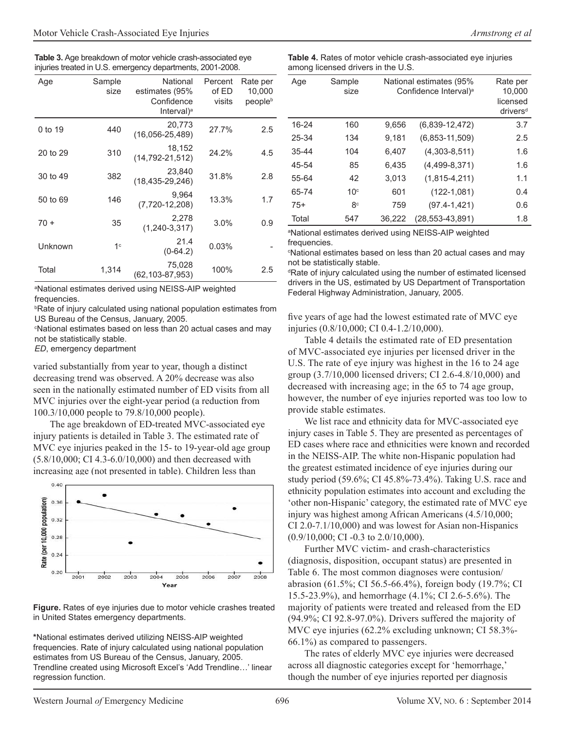| Table 3. Age breakdown of motor vehicle crash-associated eye |
|--------------------------------------------------------------|
| injuries treated in U.S. emergency departments, 2001-2008.   |

| Age      | Sample<br>size | National<br>estimates (95%<br>Confidence<br>Interval) <sup>a</sup> | Percent<br>of ED<br>visits | Rate per<br>10,000<br>people <sup>b</sup> |
|----------|----------------|--------------------------------------------------------------------|----------------------------|-------------------------------------------|
| 0 to 19  | 440            | 20,773<br>$(16.056 - 25.489)$                                      | 27.7%                      | 2.5                                       |
| 20 to 29 | 310            | 18,152<br>$(14, 792 - 21, 512)$                                    | 24.2%                      | 4.5                                       |
| 30 to 49 | 382            | 23,840<br>$(18, 435 - 29, 246)$                                    | 31.8%                      | 2.8                                       |
| 50 to 69 | 146            | 9,964<br>$(7,720-12,208)$                                          | 13.3%                      | 1.7                                       |
| $70+$    | 35             | 2,278<br>$(1, 240 - 3, 317)$                                       | 3.0%                       | 0.9                                       |
| Unknown  | 1 <sup>c</sup> | 21.4<br>$(0-64.2)$                                                 | 0.03%                      |                                           |
| Total    | 1,314          | 75,028<br>$(62, 103 - 87, 953)$                                    | 100%                       | 2.5                                       |

<sup>a</sup>National estimates derived using NEISS-AIP weighted frequencies.

**PRate of injury calculated using national population estimates from** US Bureau of the Census, January, 2005.

<sup>c</sup>National estimates based on less than 20 actual cases and may not be statistically stable.

*ED*, emergency department

varied substantially from year to year, though a distinct decreasing trend was observed. A 20% decrease was also seen in the nationally estimated number of ED visits from all MVC injuries over the eight-year period (a reduction from 100.3/10,000 people to 79.8/10,000 people).

The age breakdown of ED-treated MVC-associated eye injury patients is detailed in Table 3. The estimated rate of MVC eye injuries peaked in the 15- to 19-year-old age group (5.8/10,000; CI 4.3-6.0/10,000) and then decreased with increasing age (not presented in table). Children less than





**\***National estimates derived utilizing NEISS-AIP weighted frequencies. Rate of injury calculated using national population estimates from US Bureau of the Census, January, 2005. Trendline created using Microsoft Excel's 'Add Trendline…' linear regression function.

**Table 4.** Rates of motor vehicle crash-associated eye injuries among licensed drivers in the U.S.

| Age       | Sample<br>size  |        | National estimates (95%<br>Confidence Interval) <sup>a</sup> |     |
|-----------|-----------------|--------|--------------------------------------------------------------|-----|
| 16-24     | 160             | 9,656  | $(6,839-12,472)$                                             | 3.7 |
| 25-34     | 134             | 9.181  | $(6,853-11,509)$                                             | 2.5 |
| $35 - 44$ | 104             | 6.407  | $(4,303 - 8,511)$                                            | 1.6 |
| 45-54     | 85              | 6.435  | $(4,499-8,371)$                                              | 1.6 |
| 55-64     | 42              | 3.013  | $(1,815-4,211)$                                              | 1.1 |
| 65-74     | 10 <sup>c</sup> | 601    | $(122 - 1, 081)$                                             | 0.4 |
| $75+$     | 8 <sup>c</sup>  | 759    | $(97.4 - 1.421)$                                             | 0.6 |
| Total     | 547             | 36.222 | $(28, 553 - 43, 891)$                                        | 1.8 |

aNational estimates derived using NEISS-AIP weighted frequencies.

<sup>c</sup>National estimates based on less than 20 actual cases and may not be statistically stable.

<sup>d</sup>Rate of injury calculated using the number of estimated licensed drivers in the US, estimated by US Department of Transportation Federal Highway Administration, January, 2005.

five years of age had the lowest estimated rate of MVC eye injuries (0.8/10,000; CI 0.4-1.2/10,000).

Table 4 details the estimated rate of ED presentation of MVC-associated eye injuries per licensed driver in the U.S. The rate of eye injury was highest in the 16 to 24 age group (3.7/10,000 licensed drivers; CI 2.6-4.8/10,000) and decreased with increasing age; in the 65 to 74 age group, however, the number of eye injuries reported was too low to provide stable estimates.

We list race and ethnicity data for MVC-associated eye injury cases in Table 5. They are presented as percentages of ED cases where race and ethnicities were known and recorded in the NEISS-AIP. The white non-Hispanic population had the greatest estimated incidence of eye injuries during our study period (59.6%; CI 45.8%-73.4%). Taking U.S. race and ethnicity population estimates into account and excluding the 'other non-Hispanic' category, the estimated rate of MVC eye injury was highest among African Americans (4.5/10,000; CI 2.0-7.1/10,000) and was lowest for Asian non-Hispanics (0.9/10,000; CI -0.3 to 2.0/10,000).

Further MVC victim- and crash-characteristics (diagnosis, disposition, occupant status) are presented in Table 6. The most common diagnoses were contusion/ abrasion (61.5%; CI 56.5-66.4%), foreign body (19.7%; CI 15.5-23.9%), and hemorrhage (4.1%; CI 2.6-5.6%). The majority of patients were treated and released from the ED (94.9%; CI 92.8-97.0%). Drivers suffered the majority of MVC eye injuries (62.2% excluding unknown; CI 58.3%- 66.1%) as compared to passengers.

The rates of elderly MVC eye injuries were decreased across all diagnostic categories except for 'hemorrhage,' though the number of eye injuries reported per diagnosis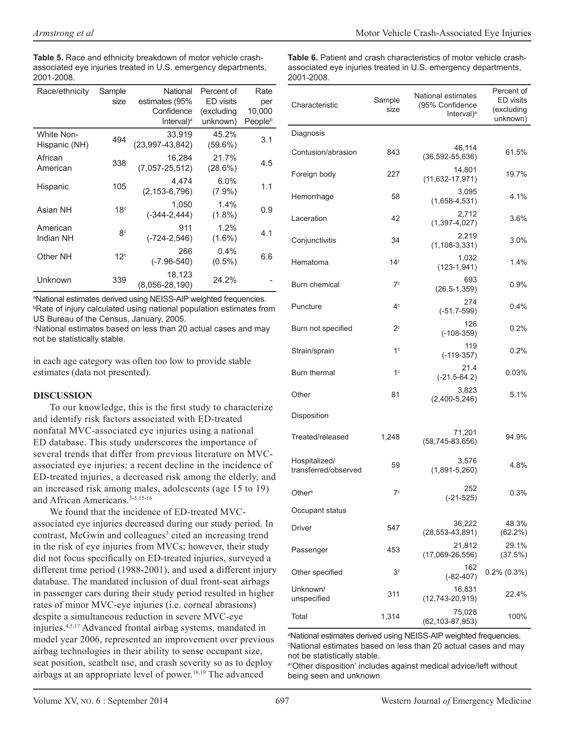| Table 5. Race and ethnicity breakdown of motor vehicle crash-  |
|----------------------------------------------------------------|
| associated eye injuries treated in U.S. emergency departments, |
| 2001-2008.                                                     |

| Race/ethnicity              | Sample<br>size  | National<br>estimates (95%<br>Confidence | Percent of<br><b>ED</b> visits<br>(excluding | Rate<br>per<br>10,000 |
|-----------------------------|-----------------|------------------------------------------|----------------------------------------------|-----------------------|
|                             |                 | Interval) <sup>a</sup>                   | unknown)                                     | Peopleb               |
| White Non-<br>Hispanic (NH) | 494             | 33,919<br>$(23,997-43,842)$              | 45.2%<br>$(59.6\%)$                          | 3.1                   |
| African<br>American         | 338             | 16,284<br>$(7,057 - 25,512)$             | 21.7%<br>(28.6%)                             | 4.5                   |
| Hispanic                    | 105             | 4.474<br>$(2, 153 - 6, 796)$             | $6.0\%$<br>$(7.9\%)$                         | 1.1                   |
| Asian NH                    | 18 <sup>c</sup> | 1.050<br>$(-344 - 2, 444)$               | 1.4%<br>$(1.8\%)$                            | 0.9                   |
| American<br>Indian NH       | 8c              | 911<br>$(-724 - 2.546)$                  | 1.2%<br>$(1.6\%)$                            | 4.1                   |
| Other NH                    | 12 <sup>c</sup> | 266<br>$(-7.96 - 540)$                   | $0.4\%$<br>$(0.5\%)$                         | 6.6                   |
| Unknown                     | 339             | 18,123<br>$(8.056 - 28.190)$             | 24.2%                                        |                       |

aNational estimates derived using NEISS-AIP weighted frequencies. **PRate of injury calculated using national population estimates from** US Bureau of the Census, January, 2005.

<sup>c</sup>National estimates based on less than 20 actual cases and may not be statistically stable.

in each age category was often too low to provide stable estimates (data not presented).

## **DISCUSSION**

To our knowledge, this is the first study to characterize and identify risk factors associated with ED-treated nonfatal MVC-associated eye injuries using a national ED database. This study underscores the importance of several trends that differ from previous literature on MVCassociated eye injuries: a recent decline in the incidence of ED-treated injuries, a decreased risk among the elderly, and an increased risk among males, adolescents (age 15 to 19) and African Americans.3-5,15-16

We found that the incidence of ED-treated MVCassociated eye injuries decreased during our study period. In contrast, McGwin and colleagues<sup>3</sup> cited an increasing trend in the risk of eye injuries from MVCs; however, their study did not focus specifically on ED-treated injuries, surveyed a different time period (1988-2001), and used a different injury database. The mandated inclusion of dual front-seat airbags in passenger cars during their study period resulted in higher rates of minor MVC-eye injuries (i.e. corneal abrasions) despite a simultaneous reduction in severe MVC-eye injuries.4,5,17 Advanced frontal airbag systems, mandated in model year 2006, represented an improvement over previous airbag technologies in their ability to sense occupant size, seat position, seatbelt use, and crash severity so as to deploy airbags at an appropriate level of power.18,19 The advanced

**Table 6.** Patient and crash characteristics of motor vehicle crashassociated eye injuries treated in U.S. emergency departments, 2001-2008.

| Characteristic                        | Sample<br>size  | National estimates<br>(95% Confidence<br>Interval) <sup>a</sup> | Percent of<br>ED visits<br>(excluding<br>unknown) |
|---------------------------------------|-----------------|-----------------------------------------------------------------|---------------------------------------------------|
| Diagnosis                             |                 |                                                                 |                                                   |
| Contusion/abrasion                    | 843             | 46,114<br>$(36, 592 - 55, 636)$                                 | 61.5%                                             |
| Foreign body                          | 227             | 14,801<br>$(11, 632 - 17, 971)$                                 | 19.7%                                             |
| Hemorrhage                            | 58              | 3,095<br>$(1,658-4,531)$                                        | 4.1%                                              |
| Laceration                            | 42              | 2,712<br>$(1, 397 - 4, 027)$                                    | 3.6%                                              |
| Conjunctivitis                        | 34              | 2,219<br>$(1, 108 - 3, 331)$                                    | 3.0%                                              |
| Hematoma                              | 14 <sup>c</sup> | 1,032<br>$(123-1, 941)$                                         | 1.4%                                              |
| Burn chemical                         | 7 <sup>c</sup>  | 693<br>$(26.5 - 1, 359)$                                        | 0.9%                                              |
| Puncture                              | 4 <sup>c</sup>  | 274<br>$(-51.7 - 599)$                                          | 0.4%                                              |
| Burn not specified                    | 2 <sup>c</sup>  | 126<br>$(-108-359)$                                             | 0.2%                                              |
| Strain/sprain                         | 1 <sup>c</sup>  | 119<br>$(-119-357)$                                             | 0.2%                                              |
| Burn thermal                          | 1 <sup>c</sup>  | 21.4<br>$(-21.5-64.2)$                                          | 0.03%                                             |
| Other                                 | 81              | 3,823<br>$(2,400-5,246)$                                        | 5.1%                                              |
| Disposition                           |                 |                                                                 |                                                   |
| Treated/released                      | 1,248           | 71,201<br>$(58, 745 - 83, 656)$                                 | 94.9%                                             |
| Hospitalized/<br>transferred/observed | 59              | 3,576<br>$(1,891-5,260)$                                        | 4.8%                                              |
| Othere                                | 7 <sup>c</sup>  | 252<br>$(-21-525)$                                              | 0.3%                                              |
| Occupant status                       |                 |                                                                 |                                                   |
| Driver                                | 547             | 36,222<br>$(28, 553 - 43, 891)$                                 | 48.3%<br>$(62.2\%)$                               |
| Passenger                             | 453             | 21.812<br>$(17,069-26,556)$                                     | 29.1%<br>(37.5%)                                  |
| Other specified                       | 3 <sup>c</sup>  | 162<br>$(-82 - 407)$                                            | $0.2\%$ (0.3%)                                    |
| Unknown/<br>unspecified               | 311             | 16.831<br>$(12, 743 - 20, 919)$                                 | 22.4%                                             |
| Total                                 | 1,314           | 75,028<br>$(62, 103 - 87, 953)$                                 | 100%                                              |

aNational estimates derived using NEISS-AIP weighted frequencies. <sup>c</sup>National estimates based on less than 20 actual cases and may not be statistically stable.

e 'Other disposition' includes against medical advice/left without being seen and unknown.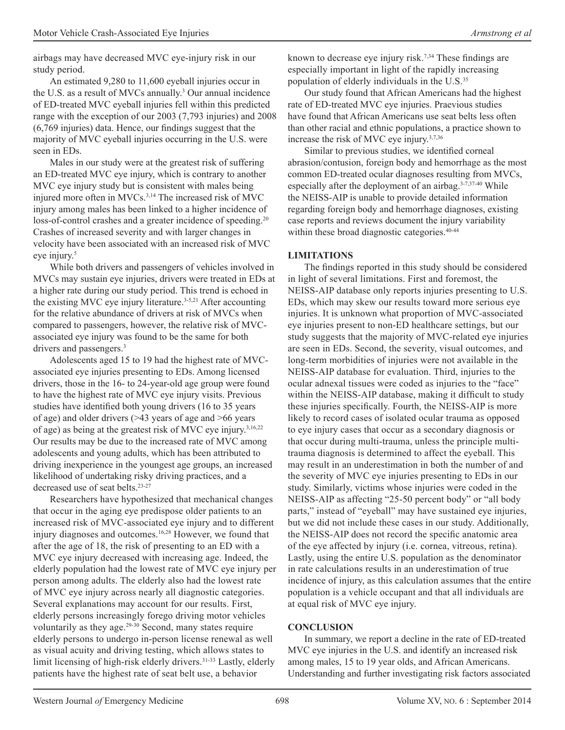airbags may have decreased MVC eye-injury risk in our study period.

An estimated 9,280 to 11,600 eyeball injuries occur in the U.S. as a result of MVCs annually.<sup>3</sup> Our annual incidence of ED-treated MVC eyeball injuries fell within this predicted range with the exception of our 2003 (7,793 injuries) and 2008 (6,769 injuries) data. Hence, our findings suggest that the majority of MVC eyeball injuries occurring in the U.S. were seen in EDs.

Males in our study were at the greatest risk of suffering an ED-treated MVC eye injury, which is contrary to another MVC eye injury study but is consistent with males being injured more often in MVCs.<sup>3,14</sup> The increased risk of MVC injury among males has been linked to a higher incidence of loss-of-control crashes and a greater incidence of speeding.<sup>20</sup> Crashes of increased severity and with larger changes in velocity have been associated with an increased risk of MVC eye injury.<sup>5</sup>

While both drivers and passengers of vehicles involved in MVCs may sustain eye injuries, drivers were treated in EDs at a higher rate during our study period. This trend is echoed in the existing MVC eye injury literature.<sup>3-5,21</sup> After accounting for the relative abundance of drivers at risk of MVCs when compared to passengers, however, the relative risk of MVCassociated eye injury was found to be the same for both drivers and passengers.<sup>3</sup>

Adolescents aged 15 to 19 had the highest rate of MVCassociated eye injuries presenting to EDs. Among licensed drivers, those in the 16- to 24-year-old age group were found to have the highest rate of MVC eye injury visits. Previous studies have identified both young drivers (16 to 35 years of age) and older drivers (>43 years of age and >66 years of age) as being at the greatest risk of MVC eye injury.3,16,22 Our results may be due to the increased rate of MVC among adolescents and young adults, which has been attributed to driving inexperience in the youngest age groups, an increased likelihood of undertaking risky driving practices, and a decreased use of seat belts.<sup>23-27</sup>

Researchers have hypothesized that mechanical changes that occur in the aging eye predispose older patients to an increased risk of MVC-associated eye injury and to different injury diagnoses and outcomes.16,28 However, we found that after the age of 18, the risk of presenting to an ED with a MVC eye injury decreased with increasing age. Indeed, the elderly population had the lowest rate of MVC eye injury per person among adults. The elderly also had the lowest rate of MVC eye injury across nearly all diagnostic categories. Several explanations may account for our results. First, elderly persons increasingly forego driving motor vehicles voluntarily as they age.<sup>29-30</sup> Second, many states require elderly persons to undergo in-person license renewal as well as visual acuity and driving testing, which allows states to limit licensing of high-risk elderly drivers.31-33 Lastly, elderly patients have the highest rate of seat belt use, a behavior

known to decrease eye injury risk.<sup>7,34</sup> These findings are especially important in light of the rapidly increasing population of elderly individuals in the U.S.<sup>35</sup>

Our study found that African Americans had the highest rate of ED-treated MVC eye injuries. Praevious studies have found that African Americans use seat belts less often than other racial and ethnic populations, a practice shown to increase the risk of MVC eye injury.3,7,36

Similar to previous studies, we identified corneal abrasion/contusion, foreign body and hemorrhage as the most common ED-treated ocular diagnoses resulting from MVCs, especially after the deployment of an airbag.<sup>3-7,37-40</sup> While the NEISS-AIP is unable to provide detailed information regarding foreign body and hemorrhage diagnoses, existing case reports and reviews document the injury variability within these broad diagnostic categories.<sup>40-44</sup>

## **LIMITATIONS**

The findings reported in this study should be considered in light of several limitations. First and foremost, the NEISS-AIP database only reports injuries presenting to U.S. EDs, which may skew our results toward more serious eye injuries. It is unknown what proportion of MVC-associated eye injuries present to non-ED healthcare settings, but our study suggests that the majority of MVC-related eye injuries are seen in EDs. Second, the severity, visual outcomes, and long-term morbidities of injuries were not available in the NEISS-AIP database for evaluation. Third, injuries to the ocular adnexal tissues were coded as injuries to the "face" within the NEISS-AIP database, making it difficult to study these injuries specifically. Fourth, the NEISS-AIP is more likely to record cases of isolated ocular trauma as opposed to eye injury cases that occur as a secondary diagnosis or that occur during multi-trauma, unless the principle multitrauma diagnosis is determined to affect the eyeball. This may result in an underestimation in both the number of and the severity of MVC eye injuries presenting to EDs in our study. Similarly, victims whose injuries were coded in the NEISS-AIP as affecting "25-50 percent body" or "all body parts," instead of "eyeball" may have sustained eye injuries, but we did not include these cases in our study. Additionally, the NEISS-AIP does not record the specific anatomic area of the eye affected by injury (i.e. cornea, vitreous, retina). Lastly, using the entire U.S. population as the denominator in rate calculations results in an underestimation of true incidence of injury, as this calculation assumes that the entire population is a vehicle occupant and that all individuals are at equal risk of MVC eye injury.

#### **CONCLUSION**

In summary, we report a decline in the rate of ED-treated MVC eye injuries in the U.S. and identify an increased risk among males, 15 to 19 year olds, and African Americans. Understanding and further investigating risk factors associated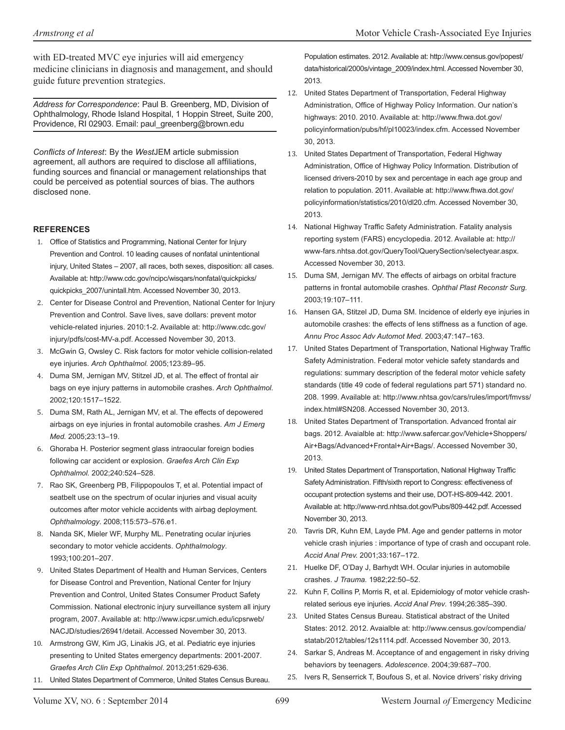with ED-treated MVC eye injuries will aid emergency medicine clinicians in diagnosis and management, and should guide future prevention strategies.

*Address for Correspondence*: Paul B. Greenberg, MD, Division of Ophthalmology, Rhode Island Hospital, 1 Hoppin Street, Suite 200, Providence, RI 02903. Email: paul\_greenberg@brown.edu

*Conflicts of Interest*: By the *West*JEM article submission agreement, all authors are required to disclose all affiliations, funding sources and financial or management relationships that could be perceived as potential sources of bias. The authors disclosed none.

#### **REFERENCES**

- 1. Office of Statistics and Programming, National Center for Injury Prevention and Control. 10 leading causes of nonfatal unintentional injury, United States – 2007, all races, both sexes, disposition: all cases. Available at: http://www.cdc.gov/ncipc/wisqars/nonfatal/quickpicks/ quickpicks\_2007/unintall.htm. Accessed November 30, 2013.
- 2. Center for Disease Control and Prevention, National Center for Injury Prevention and Control. Save lives, save dollars: prevent motor vehicle-related injuries. 2010:1-2. Available at: http://www.cdc.gov/ injury/pdfs/cost-MV-a.pdf. Accessed November 30, 2013.
- 3. McGwin G, Owsley C. Risk factors for motor vehicle collision-related eye injuries. *Arch Ophthalmol.* 2005;123:89–95.
- 4. Duma SM, Jernigan MV, Stitzel JD, et al. The effect of frontal air bags on eye injury patterns in automobile crashes. *Arch Ophthalmol.* 2002;120:1517–1522.
- 5. Duma SM, Rath AL, Jernigan MV, et al. The effects of depowered airbags on eye injuries in frontal automobile crashes. *Am J Emerg Med.* 2005;23:13–19.
- 6. Ghoraba H. Posterior segment glass intraocular foreign bodies following car accident or explosion. *Graefes Arch Clin Exp Ophthalmol.* 2002;240:524–528.
- 7. Rao SK, Greenberg PB, Filippopoulos T, et al. Potential impact of seatbelt use on the spectrum of ocular injuries and visual acuity outcomes after motor vehicle accidents with airbag deployment. *Ophthalmology*. 2008;115:573–576.e1.
- 8. Nanda SK, Mieler WF, Murphy ML. Penetrating ocular injuries secondary to motor vehicle accidents. *Ophthalmology*. 1993;100:201–207.
- 9. United States Department of Health and Human Services, Centers for Disease Control and Prevention, National Center for Injury Prevention and Control, United States Consumer Product Safety Commission. National electronic injury surveillance system all injury program, 2007. Available at: http://www.icpsr.umich.edu/icpsrweb/ NACJD/studies/26941/detail. Accessed November 30, 2013.
- 10. Armstrong GW, Kim JG, Linakis JG, et al. Pediatric eye injuries presenting to United States emergency departments: 2001-2007. *Graefes Arch Clin Exp Ophthalmol*. 2013;251:629-636.
- 11. United States Department of Commerce, United States Census Bureau.

Population estimates. 2012. Available at: http://www.census.gov/popest/ data/historical/2000s/vintage\_2009/index.html. Accessed November 30, 2013.

- 12. United States Department of Transportation, Federal Highway Administration, Office of Highway Policy Information. Our nation's highways: 2010. 2010. Available at: http://www.fhwa.dot.gov/ policyinformation/pubs/hf/pl10023/index.cfm. Accessed November 30, 2013.
- 13. United States Department of Transportation, Federal Highway Administration, Office of Highway Policy Information. Distribution of licensed drivers-2010 by sex and percentage in each age group and relation to population. 2011. Available at: http://www.fhwa.dot.gov/ policyinformation/statistics/2010/dl20.cfm. Accessed November 30, 2013.
- 14. National Highway Traffic Safety Administration. Fatality analysis reporting system (FARS) encyclopedia. 2012. Available at: http:// www-fars.nhtsa.dot.gov/QueryTool/QuerySection/selectyear.aspx. Accessed November 30, 2013.
- 15. Duma SM, Jernigan MV. The effects of airbags on orbital fracture patterns in frontal automobile crashes. *Ophthal Plast Reconstr Surg.* 2003;19:107–111.
- 16. Hansen GA, Stitzel JD, Duma SM. Incidence of elderly eye injuries in automobile crashes: the effects of lens stiffness as a function of age. *Annu Proc Assoc Adv Automot Med*. 2003;47:147–163.
- 17. United States Department of Transportation, National Highway Traffic Safety Administration. Federal motor vehicle safety standards and regulations: summary description of the federal motor vehicle safety standards (title 49 code of federal regulations part 571) standard no. 208. 1999. Available at: http://www.nhtsa.gov/cars/rules/import/fmvss/ index.html#SN208. Accessed November 30, 2013.
- 18. United States Department of Transportation. Advanced frontal air bags. 2012. Avaialble at: http://www.safercar.gov/Vehicle+Shoppers/ Air+Bags/Advanced+Frontal+Air+Bags/. Accessed November 30, 2013.
- 19. United States Department of Transportation, National Highway Traffic Safety Administration. Fifth/sixth report to Congress: effectiveness of occupant protection systems and their use, DOT-HS-809-442. 2001. Available at: http://www-nrd.nhtsa.dot.gov/Pubs/809-442.pdf. Accessed November 30, 2013.
- 20. Tavris DR, Kuhn EM, Layde PM. Age and gender patterns in motor vehicle crash injuries : importance of type of crash and occupant role. *Accid Anal Prev.* 2001;33:167–172.
- 21. Huelke DF, O'Day J, Barhydt WH. Ocular injuries in automobile crashes. *J Trauma.* 1982;22:50–52.
- 22. Kuhn F, Collins P, Morris R, et al. Epidemiology of motor vehicle crashrelated serious eye injuries. *Accid Anal Prev*. 1994;26:385–390.
- 23. United States Census Bureau. Statistical abstract of the United States: 2012. 2012. Avaialble at: http://www.census.gov/compendia/ statab/2012/tables/12s1114.pdf. Accessed November 30, 2013.
- 24. Sarkar S, Andreas M. Acceptance of and engagement in risky driving behaviors by teenagers. *Adolescence*. 2004;39:687–700.
- 25. Ivers R, Senserrick T, Boufous S, et al. Novice drivers' risky driving